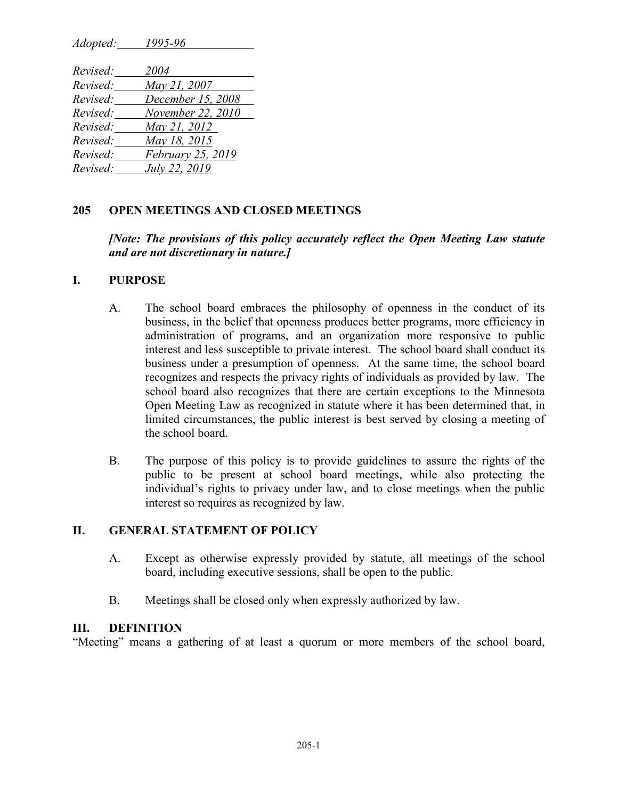*Adopted: 1995-96*

| Revised: | 2004              |
|----------|-------------------|
| Revised: | May 21, 2007      |
| Revised: | December 15, 2008 |
| Revised: | November 22, 2010 |
| Revised: | May 21, 2012      |
| Revised: | May 18, 2015      |
| Revised: | February 25, 2019 |
| Revised: | July 22, 2019     |

### **205 OPEN MEETINGS AND CLOSED MEETINGS**

### *[Note: The provisions of this policy accurately reflect the Open Meeting Law statute and are not discretionary in nature.]*

#### **I. PURPOSE**

- A. The school board embraces the philosophy of openness in the conduct of its business, in the belief that openness produces better programs, more efficiency in administration of programs, and an organization more responsive to public interest and less susceptible to private interest. The school board shall conduct its business under a presumption of openness. At the same time, the school board recognizes and respects the privacy rights of individuals as provided by law. The school board also recognizes that there are certain exceptions to the Minnesota Open Meeting Law as recognized in statute where it has been determined that, in limited circumstances, the public interest is best served by closing a meeting of the school board.
- B. The purpose of this policy is to provide guidelines to assure the rights of the public to be present at school board meetings, while also protecting the individual's rights to privacy under law, and to close meetings when the public interest so requires as recognized by law.

#### **II. GENERAL STATEMENT OF POLICY**

- A. Except as otherwise expressly provided by statute, all meetings of the school board, including executive sessions, shall be open to the public.
- B. Meetings shall be closed only when expressly authorized by law.

#### **III. DEFINITION**

"Meeting" means a gathering of at least a quorum or more members of the school board,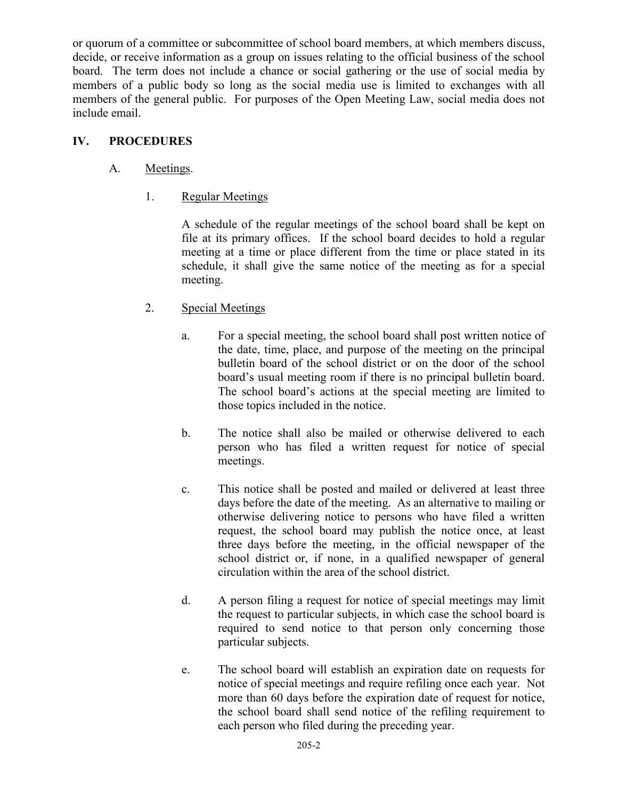or quorum of a committee or subcommittee of school board members, at which members discuss, decide, or receive information as a group on issues relating to the official business of the school board. The term does not include a chance or social gathering or the use of social media by members of a public body so long as the social media use is limited to exchanges with all members of the general public. For purposes of the Open Meeting Law, social media does not include email.

# **IV. PROCEDURES**

# A. Meetings.

1. Regular Meetings

A schedule of the regular meetings of the school board shall be kept on file at its primary offices. If the school board decides to hold a regular meeting at a time or place different from the time or place stated in its schedule, it shall give the same notice of the meeting as for a special meeting.

- 2. Special Meetings
	- a. For a special meeting, the school board shall post written notice of the date, time, place, and purpose of the meeting on the principal bulletin board of the school district or on the door of the school board's usual meeting room if there is no principal bulletin board. The school board's actions at the special meeting are limited to those topics included in the notice.
	- b. The notice shall also be mailed or otherwise delivered to each person who has filed a written request for notice of special meetings.
	- c. This notice shall be posted and mailed or delivered at least three days before the date of the meeting. As an alternative to mailing or otherwise delivering notice to persons who have filed a written request, the school board may publish the notice once, at least three days before the meeting, in the official newspaper of the school district or, if none, in a qualified newspaper of general circulation within the area of the school district.
	- d. A person filing a request for notice of special meetings may limit the request to particular subjects, in which case the school board is required to send notice to that person only concerning those particular subjects.
	- e. The school board will establish an expiration date on requests for notice of special meetings and require refiling once each year. Not more than 60 days before the expiration date of request for notice, the school board shall send notice of the refiling requirement to each person who filed during the preceding year.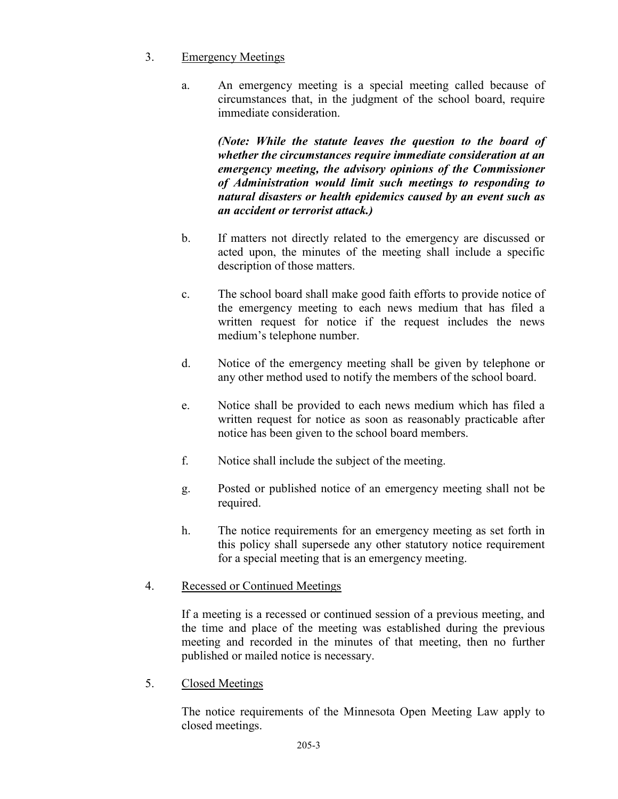## 3. Emergency Meetings

a. An emergency meeting is a special meeting called because of circumstances that, in the judgment of the school board, require immediate consideration.

*(Note: While the statute leaves the question to the board of whether the circumstances require immediate consideration at an emergency meeting, the advisory opinions of the Commissioner of Administration would limit such meetings to responding to natural disasters or health epidemics caused by an event such as an accident or terrorist attack.)*

- b. If matters not directly related to the emergency are discussed or acted upon, the minutes of the meeting shall include a specific description of those matters.
- c. The school board shall make good faith efforts to provide notice of the emergency meeting to each news medium that has filed a written request for notice if the request includes the news medium's telephone number.
- d. Notice of the emergency meeting shall be given by telephone or any other method used to notify the members of the school board.
- e. Notice shall be provided to each news medium which has filed a written request for notice as soon as reasonably practicable after notice has been given to the school board members.
- f. Notice shall include the subject of the meeting.
- g. Posted or published notice of an emergency meeting shall not be required.
- h. The notice requirements for an emergency meeting as set forth in this policy shall supersede any other statutory notice requirement for a special meeting that is an emergency meeting.

# 4. Recessed or Continued Meetings

If a meeting is a recessed or continued session of a previous meeting, and the time and place of the meeting was established during the previous meeting and recorded in the minutes of that meeting, then no further published or mailed notice is necessary.

5. Closed Meetings

The notice requirements of the Minnesota Open Meeting Law apply to closed meetings.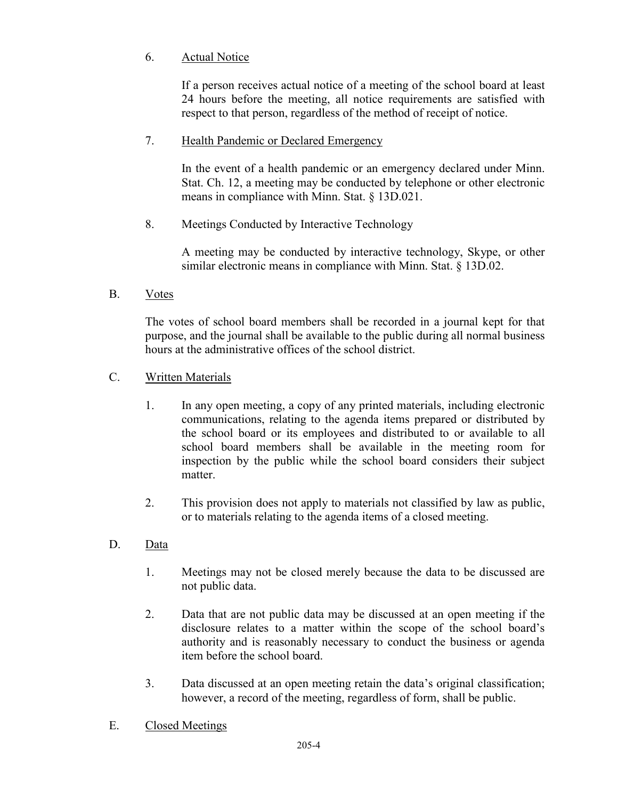# 6. Actual Notice

If a person receives actual notice of a meeting of the school board at least 24 hours before the meeting, all notice requirements are satisfied with respect to that person, regardless of the method of receipt of notice.

# 7. Health Pandemic or Declared Emergency

In the event of a health pandemic or an emergency declared under Minn. Stat. Ch. 12, a meeting may be conducted by telephone or other electronic means in compliance with Minn. Stat. § 13D.021.

8. Meetings Conducted by Interactive Technology

A meeting may be conducted by interactive technology, Skype, or other similar electronic means in compliance with Minn. Stat. § 13D.02.

B. Votes

The votes of school board members shall be recorded in a journal kept for that purpose, and the journal shall be available to the public during all normal business hours at the administrative offices of the school district.

# C. Written Materials

- 1. In any open meeting, a copy of any printed materials, including electronic communications, relating to the agenda items prepared or distributed by the school board or its employees and distributed to or available to all school board members shall be available in the meeting room for inspection by the public while the school board considers their subject matter.
- 2. This provision does not apply to materials not classified by law as public, or to materials relating to the agenda items of a closed meeting.
- D. Data
	- 1. Meetings may not be closed merely because the data to be discussed are not public data.
	- 2. Data that are not public data may be discussed at an open meeting if the disclosure relates to a matter within the scope of the school board's authority and is reasonably necessary to conduct the business or agenda item before the school board.
	- 3. Data discussed at an open meeting retain the data's original classification; however, a record of the meeting, regardless of form, shall be public.
- E. Closed Meetings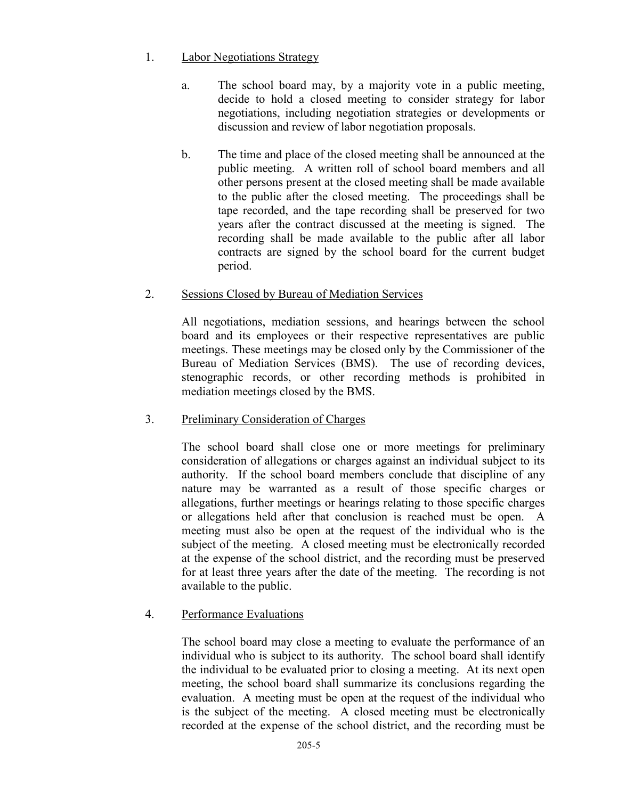## 1. Labor Negotiations Strategy

- a. The school board may, by a majority vote in a public meeting, decide to hold a closed meeting to consider strategy for labor negotiations, including negotiation strategies or developments or discussion and review of labor negotiation proposals.
- b. The time and place of the closed meeting shall be announced at the public meeting. A written roll of school board members and all other persons present at the closed meeting shall be made available to the public after the closed meeting. The proceedings shall be tape recorded, and the tape recording shall be preserved for two years after the contract discussed at the meeting is signed. The recording shall be made available to the public after all labor contracts are signed by the school board for the current budget period.

## 2. Sessions Closed by Bureau of Mediation Services

All negotiations, mediation sessions, and hearings between the school board and its employees or their respective representatives are public meetings. These meetings may be closed only by the Commissioner of the Bureau of Mediation Services (BMS). The use of recording devices, stenographic records, or other recording methods is prohibited in mediation meetings closed by the BMS.

# 3. Preliminary Consideration of Charges

The school board shall close one or more meetings for preliminary consideration of allegations or charges against an individual subject to its authority. If the school board members conclude that discipline of any nature may be warranted as a result of those specific charges or allegations, further meetings or hearings relating to those specific charges or allegations held after that conclusion is reached must be open. A meeting must also be open at the request of the individual who is the subject of the meeting. A closed meeting must be electronically recorded at the expense of the school district, and the recording must be preserved for at least three years after the date of the meeting. The recording is not available to the public.

# 4. Performance Evaluations

The school board may close a meeting to evaluate the performance of an individual who is subject to its authority. The school board shall identify the individual to be evaluated prior to closing a meeting. At its next open meeting, the school board shall summarize its conclusions regarding the evaluation. A meeting must be open at the request of the individual who is the subject of the meeting. A closed meeting must be electronically recorded at the expense of the school district, and the recording must be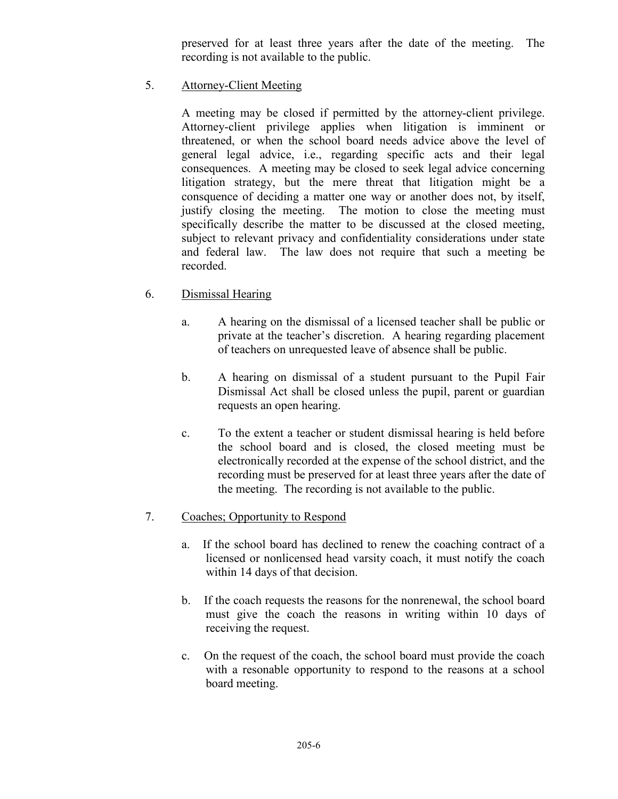preserved for at least three years after the date of the meeting. The recording is not available to the public.

5. Attorney-Client Meeting

A meeting may be closed if permitted by the attorney-client privilege. Attorney-client privilege applies when litigation is imminent or threatened, or when the school board needs advice above the level of general legal advice, i.e., regarding specific acts and their legal consequences. A meeting may be closed to seek legal advice concerning litigation strategy, but the mere threat that litigation might be a consquence of deciding a matter one way or another does not, by itself, justify closing the meeting. The motion to close the meeting must specifically describe the matter to be discussed at the closed meeting, subject to relevant privacy and confidentiality considerations under state and federal law. The law does not require that such a meeting be recorded.

- 6. Dismissal Hearing
	- a. A hearing on the dismissal of a licensed teacher shall be public or private at the teacher's discretion. A hearing regarding placement of teachers on unrequested leave of absence shall be public.
	- b. A hearing on dismissal of a student pursuant to the Pupil Fair Dismissal Act shall be closed unless the pupil, parent or guardian requests an open hearing.
	- c. To the extent a teacher or student dismissal hearing is held before the school board and is closed, the closed meeting must be electronically recorded at the expense of the school district, and the recording must be preserved for at least three years after the date of the meeting. The recording is not available to the public.

# 7. Coaches; Opportunity to Respond

- a. If the school board has declined to renew the coaching contract of a licensed or nonlicensed head varsity coach, it must notify the coach within 14 days of that decision.
- b. If the coach requests the reasons for the nonrenewal, the school board must give the coach the reasons in writing within 10 days of receiving the request.
- c. On the request of the coach, the school board must provide the coach with a resonable opportunity to respond to the reasons at a school board meeting.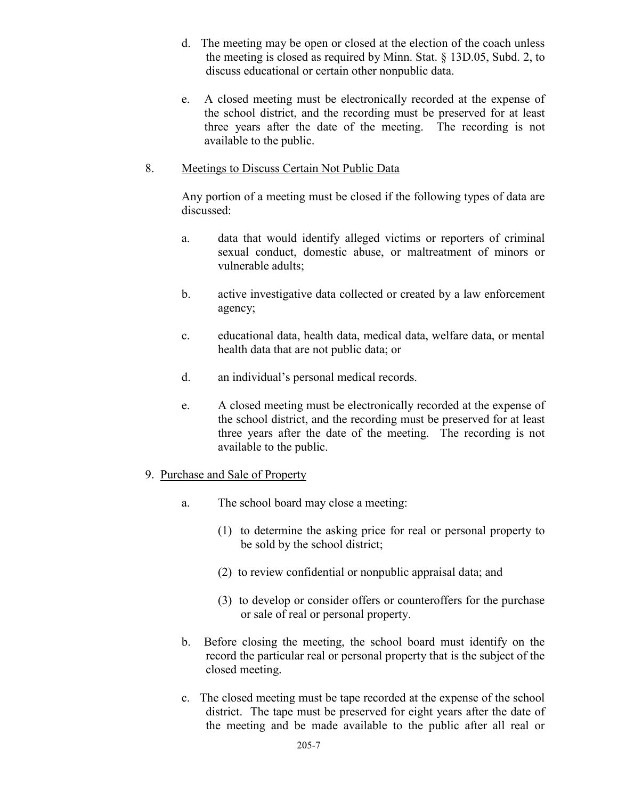- d. The meeting may be open or closed at the election of the coach unless the meeting is closed as required by Minn. Stat. § 13D.05, Subd. 2, to discuss educational or certain other nonpublic data.
- e. A closed meeting must be electronically recorded at the expense of the school district, and the recording must be preserved for at least three years after the date of the meeting. The recording is not available to the public.

#### 8. Meetings to Discuss Certain Not Public Data

Any portion of a meeting must be closed if the following types of data are discussed:

- a. data that would identify alleged victims or reporters of criminal sexual conduct, domestic abuse, or maltreatment of minors or vulnerable adults;
- b. active investigative data collected or created by a law enforcement agency;
- c. educational data, health data, medical data, welfare data, or mental health data that are not public data; or
- d. an individual's personal medical records.
- e. A closed meeting must be electronically recorded at the expense of the school district, and the recording must be preserved for at least three years after the date of the meeting. The recording is not available to the public.

#### 9. Purchase and Sale of Property

- a. The school board may close a meeting:
	- (1) to determine the asking price for real or personal property to be sold by the school district;
	- (2) to review confidential or nonpublic appraisal data; and
	- (3) to develop or consider offers or counteroffers for the purchase or sale of real or personal property.
- b. Before closing the meeting, the school board must identify on the record the particular real or personal property that is the subject of the closed meeting.
- c. The closed meeting must be tape recorded at the expense of the school district. The tape must be preserved for eight years after the date of the meeting and be made available to the public after all real or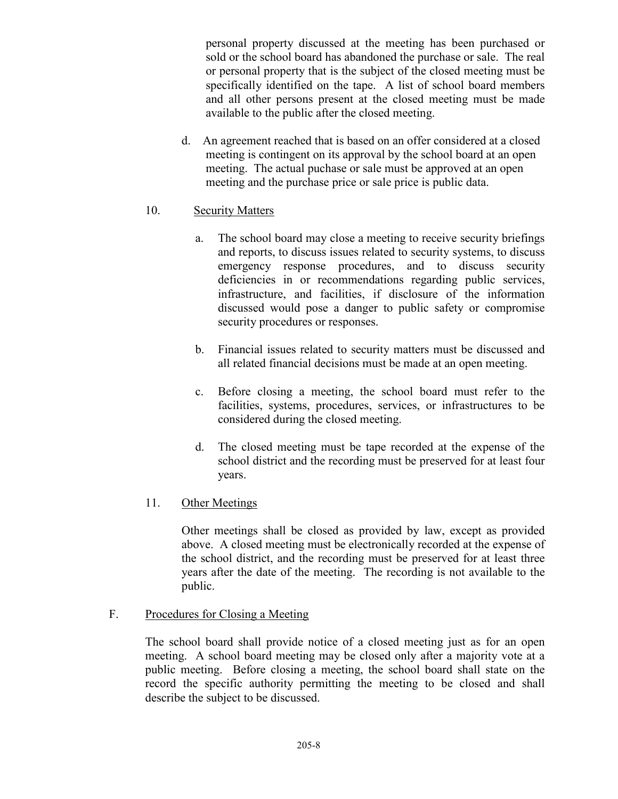personal property discussed at the meeting has been purchased or sold or the school board has abandoned the purchase or sale. The real or personal property that is the subject of the closed meeting must be specifically identified on the tape. A list of school board members and all other persons present at the closed meeting must be made available to the public after the closed meeting.

d. An agreement reached that is based on an offer considered at a closed meeting is contingent on its approval by the school board at an open meeting. The actual puchase or sale must be approved at an open meeting and the purchase price or sale price is public data.

## 10. Security Matters

- a. The school board may close a meeting to receive security briefings and reports, to discuss issues related to security systems, to discuss emergency response procedures, and to discuss security deficiencies in or recommendations regarding public services, infrastructure, and facilities, if disclosure of the information discussed would pose a danger to public safety or compromise security procedures or responses.
- b. Financial issues related to security matters must be discussed and all related financial decisions must be made at an open meeting.
- c. Before closing a meeting, the school board must refer to the facilities, systems, procedures, services, or infrastructures to be considered during the closed meeting.
- d. The closed meeting must be tape recorded at the expense of the school district and the recording must be preserved for at least four years.

# 11. Other Meetings

Other meetings shall be closed as provided by law, except as provided above. A closed meeting must be electronically recorded at the expense of the school district, and the recording must be preserved for at least three years after the date of the meeting. The recording is not available to the public.

F. Procedures for Closing a Meeting

The school board shall provide notice of a closed meeting just as for an open meeting. A school board meeting may be closed only after a majority vote at a public meeting. Before closing a meeting, the school board shall state on the record the specific authority permitting the meeting to be closed and shall describe the subject to be discussed.